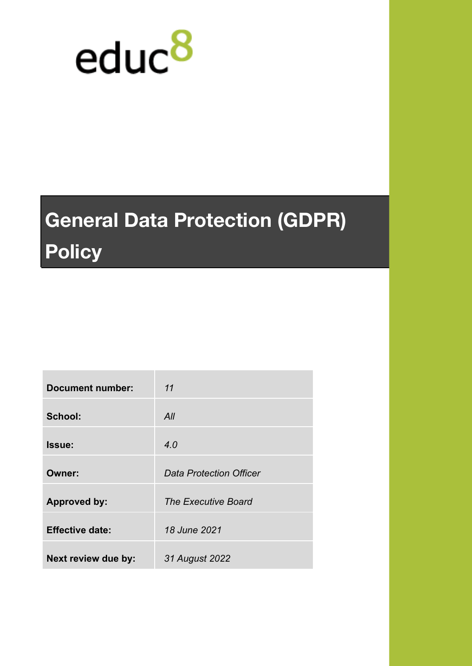

# **General Data Protection (GDPR) Policy**

| <b>Document number:</b> | 11                             |
|-------------------------|--------------------------------|
| School:                 | All                            |
| <b>Issue:</b>           | 4.0                            |
| Owner:                  | <b>Data Protection Officer</b> |
| <b>Approved by:</b>     | The Executive Board            |
| <b>Effective date:</b>  | 18 June 2021                   |
| Next review due by:     | 31 August 2022                 |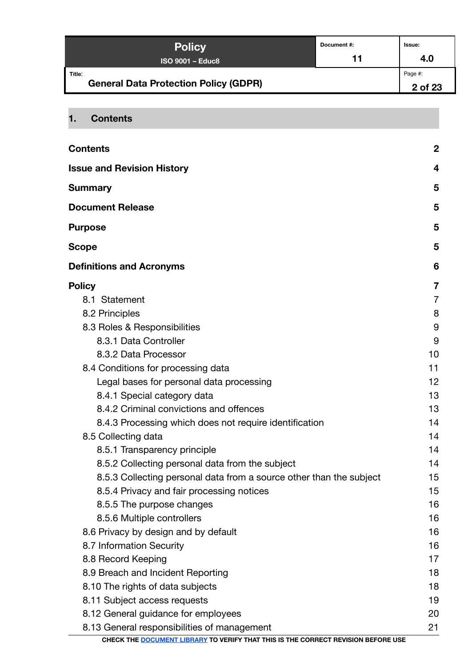| <b>Policy</b>                                          | Document #: | lssue:             |
|--------------------------------------------------------|-------------|--------------------|
| ISO 9001 - Educ8                                       | 11          | 4.0                |
| Title:<br><b>General Data Protection Policy (GDPR)</b> |             | Page #:<br>2 of 23 |

# <span id="page-1-0"></span>**1. Contents**

| <b>Contents</b>                                                                   | $\boldsymbol{2}$ |
|-----------------------------------------------------------------------------------|------------------|
| <b>Issue and Revision History</b>                                                 | 4                |
| <b>Summary</b>                                                                    | 5                |
| <b>Document Release</b>                                                           | 5                |
| <b>Purpose</b>                                                                    | 5                |
| <b>Scope</b>                                                                      | 5                |
| <b>Definitions and Acronyms</b>                                                   | 6                |
| <b>Policy</b>                                                                     | 7                |
| 8.1 Statement                                                                     | $\overline{7}$   |
| 8.2 Principles                                                                    | 8                |
| 8.3 Roles & Responsibilities                                                      | 9                |
| 8.3.1 Data Controller                                                             | 9                |
| 8.3.2 Data Processor                                                              | 10               |
| 8.4 Conditions for processing data                                                | 11               |
| Legal bases for personal data processing                                          | 12               |
| 8.4.1 Special category data                                                       | 13               |
| 8.4.2 Criminal convictions and offences                                           | 13               |
| 8.4.3 Processing which does not require identification                            | 14               |
| 8.5 Collecting data                                                               | 14               |
| 8.5.1 Transparency principle                                                      | 14               |
| 8.5.2 Collecting personal data from the subject                                   | 14               |
| 8.5.3 Collecting personal data from a source other than the subject               | 15               |
| 8.5.4 Privacy and fair processing notices                                         | 15               |
| 8.5.5 The purpose changes                                                         | 16               |
| 8.5.6 Multiple controllers                                                        | 16               |
| 8.6 Privacy by design and by default                                              | 16               |
| 8.7 Information Security                                                          | 16               |
| 8.8 Record Keeping                                                                | 17               |
| 8.9 Breach and Incident Reporting                                                 | 18               |
| 8.10 The rights of data subjects                                                  | 18               |
| 8.11 Subject access requests                                                      | 19               |
| 8.12 General guidance for employees                                               | 20               |
| 8.13 General responsibilities of management                                       | 21               |
| CHECK THE DOCUMENT LIBRARY TO VERIFY THAT THIS IS THE CORRECT REVISION BEFORE USE |                  |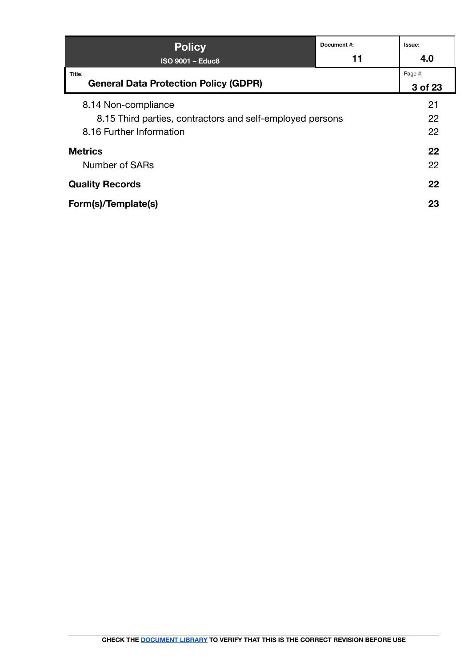| <b>Policy</b>                                             | Document#: | Issue:  |
|-----------------------------------------------------------|------------|---------|
| <b>ISO 9001 - Educ8</b>                                   | 11         | 4.0     |
| Title:                                                    |            | Page #: |
| <b>General Data Protection Policy (GDPR)</b>              |            | 3 of 23 |
| 8.14 Non-compliance                                       |            | 21      |
| 8.15 Third parties, contractors and self-employed persons |            | 22      |
| 8.16 Further Information                                  |            | 22      |
| <b>Metrics</b>                                            |            | 22      |
| Number of SARs                                            |            | 22      |
| <b>Quality Records</b>                                    |            | 22      |
| Form(s)/Template(s)                                       |            | 23      |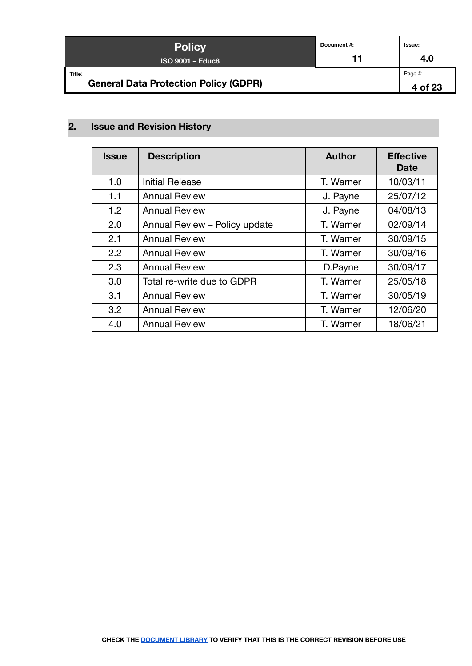| <b>Policy</b>                                          | Document #: | Issue:             |
|--------------------------------------------------------|-------------|--------------------|
| $ISO$ 9001 – Educ8                                     | 11          | 4.0                |
| Title:<br><b>General Data Protection Policy (GDPR)</b> |             | Page #:<br>4 of 23 |

# <span id="page-3-0"></span>**2. Issue and Revision History**

| <b>Issue</b> | <b>Description</b>            | <b>Author</b> | <b>Effective</b><br><b>Date</b> |
|--------------|-------------------------------|---------------|---------------------------------|
| 1.0          | <b>Initial Release</b>        | T. Warner     | 10/03/11                        |
| 1.1          | <b>Annual Review</b>          | J. Payne      | 25/07/12                        |
| 1.2          | <b>Annual Review</b>          | J. Payne      | 04/08/13                        |
| 2.0          | Annual Review - Policy update | T. Warner     | 02/09/14                        |
| 2.1          | <b>Annual Review</b>          | T. Warner     | 30/09/15                        |
| 2.2          | <b>Annual Review</b>          | T. Warner     | 30/09/16                        |
| 2.3          | <b>Annual Review</b>          | D.Payne       | 30/09/17                        |
| 3.0          | Total re-write due to GDPR    | T. Warner     | 25/05/18                        |
| 3.1          | <b>Annual Review</b>          | T. Warner     | 30/05/19                        |
| 3.2          | <b>Annual Review</b>          | T. Warner     | 12/06/20                        |
| 4.0          | <b>Annual Review</b>          | T. Warner     | 18/06/21                        |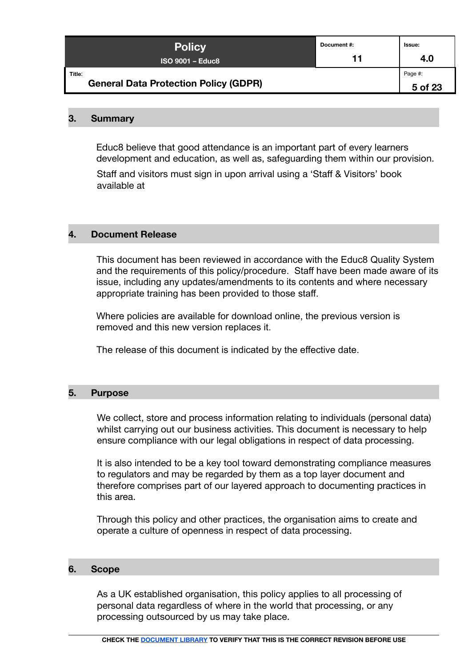| <b>Policy</b>                                          | Document #: | Issue:             |
|--------------------------------------------------------|-------------|--------------------|
| $ISO$ 9001 – Educ8                                     | 11          | 4.0                |
| Title:<br><b>General Data Protection Policy (GDPR)</b> |             | Page #:<br>5 of 23 |

#### <span id="page-4-0"></span>**3. Summary**

Educ8 believe that good attendance is an important part of every learners development and education, as well as, safeguarding them within our provision.

Staff and visitors must sign in upon arrival using a 'Staff & Visitors' book available at

#### <span id="page-4-1"></span>**4. Document Release**

This document has been reviewed in accordance with the Educ8 Quality System and the requirements of this policy/procedure. Staff have been made aware of its issue, including any updates/amendments to its contents and where necessary appropriate training has been provided to those staff.

Where policies are available for download online, the previous version is removed and this new version replaces it.

The release of this document is indicated by the effective date.

#### <span id="page-4-2"></span>**5. Purpose**

We collect, store and process information relating to individuals (personal data) whilst carrying out our business activities. This document is necessary to help ensure compliance with our legal obligations in respect of data processing.

It is also intended to be a key tool toward demonstrating compliance measures to regulators and may be regarded by them as a top layer document and therefore comprises part of our layered approach to documenting practices in this area.

Through this policy and other practices, the organisation aims to create and operate a culture of openness in respect of data processing.

#### <span id="page-4-3"></span>**6. Scope**

As a UK established organisation, this policy applies to all processing of personal data regardless of where in the world that processing, or any processing outsourced by us may take place.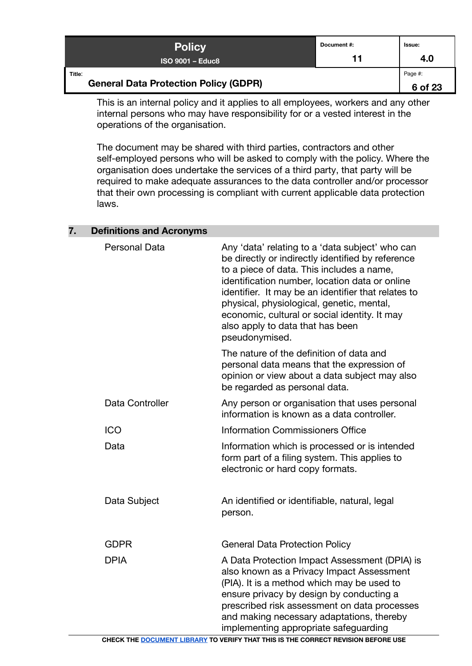| <b>Policy</b>                                          | Document#: | <b>Issue:</b>      |
|--------------------------------------------------------|------------|--------------------|
| $ISO$ 9001 – Educ8                                     | 11         | 4.0                |
| Title:<br><b>General Data Protection Policy (GDPR)</b> |            | Page #:<br>6 of 23 |

This is an internal policy and it applies to all employees, workers and any other internal persons who may have responsibility for or a vested interest in the operations of the organisation.

The document may be shared with third parties, contractors and other self-employed persons who will be asked to comply with the policy. Where the organisation does undertake the services of a third party, that party will be required to make adequate assurances to the data controller and/or processor that their own processing is compliant with current applicable data protection laws.

| <b>Personal Data</b> | Any 'data' relating to a 'data subject' who can<br>be directly or indirectly identified by reference<br>to a piece of data. This includes a name,<br>identification number, location data or online<br>identifier. It may be an identifier that relates to<br>physical, physiological, genetic, mental,<br>economic, cultural or social identity. It may<br>also apply to data that has been<br>pseudonymised. |
|----------------------|----------------------------------------------------------------------------------------------------------------------------------------------------------------------------------------------------------------------------------------------------------------------------------------------------------------------------------------------------------------------------------------------------------------|
|                      | The nature of the definition of data and<br>personal data means that the expression of<br>opinion or view about a data subject may also<br>be regarded as personal data.                                                                                                                                                                                                                                       |
| Data Controller      | Any person or organisation that uses personal<br>information is known as a data controller.                                                                                                                                                                                                                                                                                                                    |
| <b>ICO</b>           | <b>Information Commissioners Office</b>                                                                                                                                                                                                                                                                                                                                                                        |
| Data                 | Information which is processed or is intended<br>form part of a filing system. This applies to<br>electronic or hard copy formats.                                                                                                                                                                                                                                                                             |
| Data Subject         | An identified or identifiable, natural, legal<br>person.                                                                                                                                                                                                                                                                                                                                                       |
| <b>GDPR</b>          | <b>General Data Protection Policy</b>                                                                                                                                                                                                                                                                                                                                                                          |
| <b>DPIA</b>          | A Data Protection Impact Assessment (DPIA) is<br>also known as a Privacy Impact Assessment<br>(PIA). It is a method which may be used to<br>ensure privacy by design by conducting a<br>prescribed risk assessment on data processes<br>and making necessary adaptations, thereby<br>implementing appropriate safeguarding                                                                                     |

#### <span id="page-5-0"></span>**7. Definitions and Acronyms**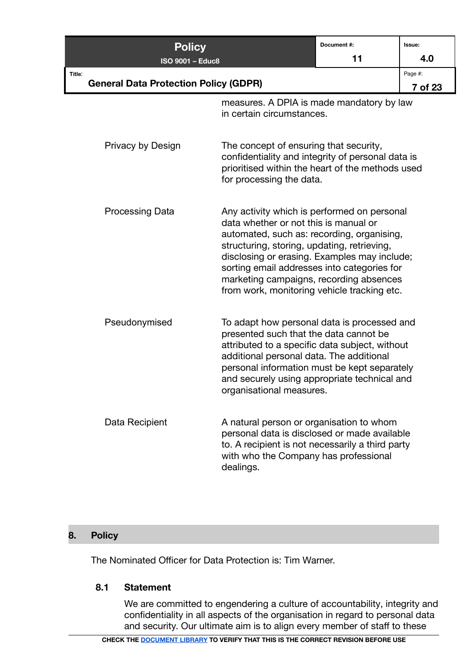| <b>Policy</b>                                          |                                                                                                                                                                                                                                                                                                                                                                            | Document #: | Issue:             |
|--------------------------------------------------------|----------------------------------------------------------------------------------------------------------------------------------------------------------------------------------------------------------------------------------------------------------------------------------------------------------------------------------------------------------------------------|-------------|--------------------|
| <b>ISO 9001 - Educ8</b>                                |                                                                                                                                                                                                                                                                                                                                                                            | 11          | 4.0                |
| Title:<br><b>General Data Protection Policy (GDPR)</b> |                                                                                                                                                                                                                                                                                                                                                                            |             | Page #:<br>7 of 23 |
|                                                        | measures. A DPIA is made mandatory by law<br>in certain circumstances.                                                                                                                                                                                                                                                                                                     |             |                    |
| Privacy by Design                                      | The concept of ensuring that security,<br>confidentiality and integrity of personal data is<br>prioritised within the heart of the methods used<br>for processing the data.                                                                                                                                                                                                |             |                    |
| <b>Processing Data</b>                                 | Any activity which is performed on personal<br>data whether or not this is manual or<br>automated, such as: recording, organising,<br>structuring, storing, updating, retrieving,<br>disclosing or erasing. Examples may include;<br>sorting email addresses into categories for<br>marketing campaigns, recording absences<br>from work, monitoring vehicle tracking etc. |             |                    |
| Pseudonymised                                          | To adapt how personal data is processed and<br>presented such that the data cannot be<br>attributed to a specific data subject, without<br>additional personal data. The additional<br>personal information must be kept separately<br>and securely using appropriate technical and<br>organisational measures.                                                            |             |                    |
| Data Recipient                                         | A natural person or organisation to whom<br>personal data is disclosed or made available<br>to. A recipient is not necessarily a third party<br>with who the Company has professional<br>dealings.                                                                                                                                                                         |             |                    |

# <span id="page-6-0"></span>**8. Policy**

The Nominated Officer for Data Protection is: Tim Warner.

#### <span id="page-6-1"></span>**8.1 Statement**

We are committed to engendering a culture of accountability, integrity and confidentiality in all aspects of the organisation in regard to personal data and security. Our ultimate aim is to align every member of staff to these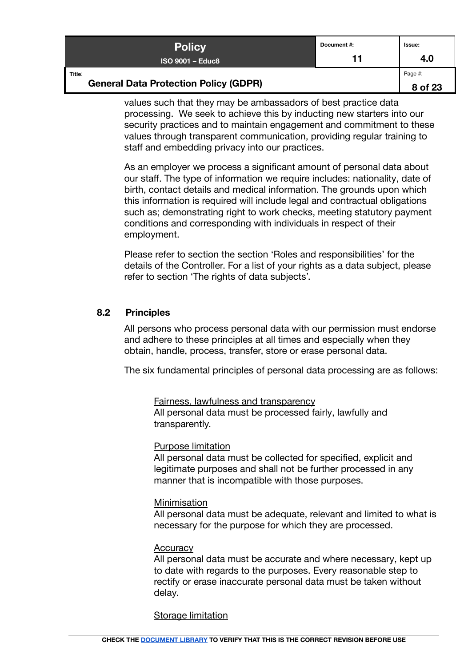| <b>Policy</b>                                          | Document #: | Issue:             |
|--------------------------------------------------------|-------------|--------------------|
| ISO 9001 – Educ8 i                                     | 11          | 4.0                |
| Title:<br><b>General Data Protection Policy (GDPR)</b> |             | Page #:<br>8 of 23 |

values such that they may be ambassadors of best practice data processing. We seek to achieve this by inducting new starters into our security practices and to maintain engagement and commitment to these values through transparent communication, providing regular training to staff and embedding privacy into our practices.

As an employer we process a significant amount of personal data about our staff. The type of information we require includes: nationality, date of birth, contact details and medical information. The grounds upon which this information is required will include legal and contractual obligations such as; demonstrating right to work checks, meeting statutory payment conditions and corresponding with individuals in respect of their employment.

Please refer to section the section 'Roles and responsibilities' for the details of the Controller. For a list of your rights as a data subject, please refer to section 'The rights of data subjects'.

## <span id="page-7-0"></span>**8.2 Principles**

All persons who process personal data with our permission must endorse and adhere to these principles at all times and especially when they obtain, handle, process, transfer, store or erase personal data.

The six fundamental principles of personal data processing are as follows:

Fairness, lawfulness and transparency

All personal data must be processed fairly, lawfully and transparently.

#### Purpose limitation

All personal data must be collected for specified, explicit and legitimate purposes and shall not be further processed in any manner that is incompatible with those purposes.

#### Minimisation

All personal data must be adequate, relevant and limited to what is necessary for the purpose for which they are processed.

#### **Accuracy**

All personal data must be accurate and where necessary, kept up to date with regards to the purposes. Every reasonable step to rectify or erase inaccurate personal data must be taken without delay.

#### Storage limitation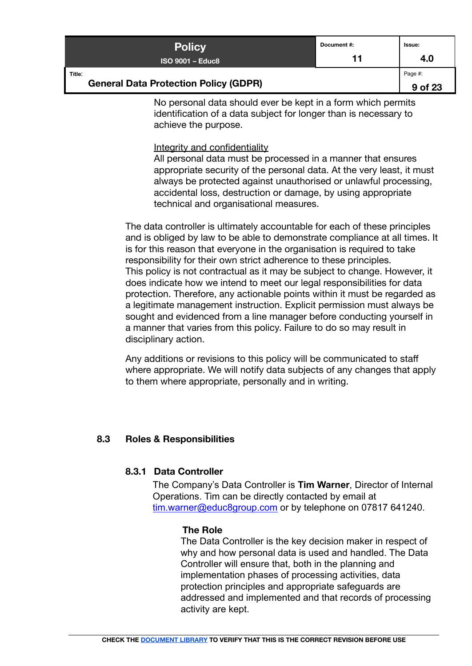| <b>Policy</b>                                          | Document #: | lssue:             |
|--------------------------------------------------------|-------------|--------------------|
| $ISO$ 9001 – Educ8                                     | 11          | 4.0                |
| Title:<br><b>General Data Protection Policy (GDPR)</b> |             | Page #:<br>9 of 23 |

No personal data should ever be kept in a form which permits identification of a data subject for longer than is necessary to achieve the purpose.

#### Integrity and confidentiality

All personal data must be processed in a manner that ensures appropriate security of the personal data. At the very least, it must always be protected against unauthorised or unlawful processing, accidental loss, destruction or damage, by using appropriate technical and organisational measures.

The data controller is ultimately accountable for each of these principles and is obliged by law to be able to demonstrate compliance at all times. It is for this reason that everyone in the organisation is required to take responsibility for their own strict adherence to these principles. This policy is not contractual as it may be subject to change. However, it does indicate how we intend to meet our legal responsibilities for data protection. Therefore, any actionable points within it must be regarded as a legitimate management instruction. Explicit permission must always be sought and evidenced from a line manager before conducting yourself in a manner that varies from this policy. Failure to do so may result in disciplinary action.

Any additions or revisions to this policy will be communicated to staff where appropriate. We will notify data subjects of any changes that apply to them where appropriate, personally and in writing.

## <span id="page-8-1"></span><span id="page-8-0"></span>**8.3 Roles & Responsibilities**

## **8.3.1 Data Controller**

The Company's Data Controller is **Tim Warner**, Director of Internal Operations. Tim can be directly contacted by email at [tim.warner@educ8group.com](mailto:tim.warner@educ8group.com) or by telephone on 07817 641240.

## **The Role**

The Data Controller is the key decision maker in respect of why and how personal data is used and handled. The Data Controller will ensure that, both in the planning and implementation phases of processing activities, data protection principles and appropriate safeguards are addressed and implemented and that records of processing activity are kept.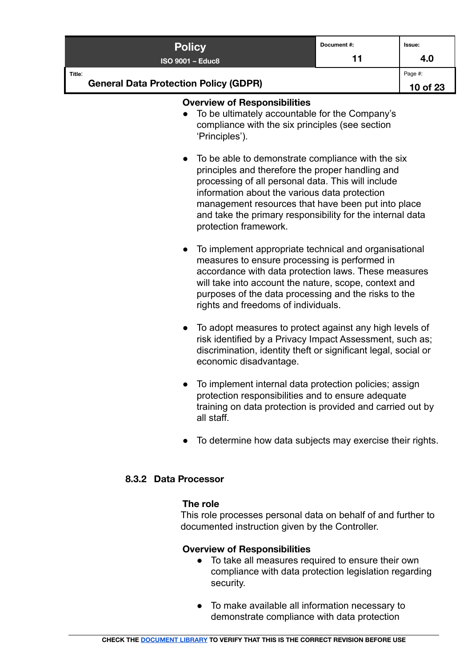| <b>Policy</b>                                                                                                                                                                                                                                                        |  | Document#: | Issue:   |
|----------------------------------------------------------------------------------------------------------------------------------------------------------------------------------------------------------------------------------------------------------------------|--|------------|----------|
| <b>ISO 9001 - Educ8</b>                                                                                                                                                                                                                                              |  | 11         | 4.0      |
| Title:                                                                                                                                                                                                                                                               |  |            | Page #:  |
| <b>General Data Protection Policy (GDPR)</b>                                                                                                                                                                                                                         |  |            | 10 of 23 |
| <b>Overview of Responsibilities</b><br>To be ultimately accountable for the Company's<br>compliance with the six principles (see section<br>'Principles').                                                                                                           |  |            |          |
| • To be able to demonstrate compliance with the six<br>principles and therefore the proper handling and<br>processing of all personal data. This will include<br>information about the various data protection<br>management resources that have been put into place |  |            |          |

protection framework.

To implement appropriate technical and organisational measures to ensure processing is performed in accordance with data protection laws. These measures will take into account the nature, scope, context and purposes of the data processing and the risks to the rights and freedoms of individuals.

and take the primary responsibility for the internal data

- To adopt measures to protect against any high levels of risk identified by a Privacy Impact Assessment, such as; discrimination, identity theft or significant legal, social or economic disadvantage.
- To implement internal data protection policies; assign protection responsibilities and to ensure adequate training on data protection is provided and carried out by all staff.
- To determine how data subjects may exercise their rights.

## <span id="page-9-0"></span>**8.3.2 Data Processor**

## **The role**

This role processes personal data on behalf of and further to documented instruction given by the Controller.

## **Overview of Responsibilities**

- To take all measures required to ensure their own compliance with data protection legislation regarding security.
- To make available all information necessary to demonstrate compliance with data protection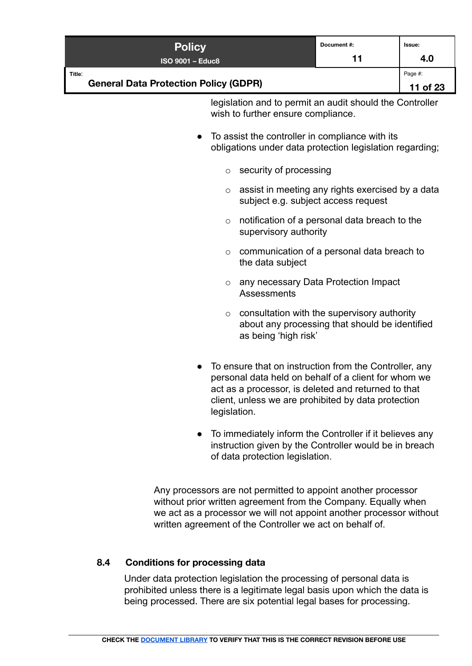| <b>Policy</b>                                                                                                                                                                                                                                                      | Document #:                                                                                                           | Issue:         |
|--------------------------------------------------------------------------------------------------------------------------------------------------------------------------------------------------------------------------------------------------------------------|-----------------------------------------------------------------------------------------------------------------------|----------------|
| <b>ISO 9001 - Educ8</b><br>Title:                                                                                                                                                                                                                                  | 11                                                                                                                    | 4.0<br>Page #: |
| <b>General Data Protection Policy (GDPR)</b>                                                                                                                                                                                                                       |                                                                                                                       | 11 of 23       |
| legislation and to permit an audit should the Controller<br>wish to further ensure compliance.                                                                                                                                                                     |                                                                                                                       |                |
| To assist the controller in compliance with its<br>$\bullet$<br>obligations under data protection legislation regarding;                                                                                                                                           |                                                                                                                       |                |
| security of processing<br>$\circ$                                                                                                                                                                                                                                  |                                                                                                                       |                |
| assist in meeting any rights exercised by a data<br>$\circ$<br>subject e.g. subject access request                                                                                                                                                                 |                                                                                                                       |                |
| $\circ$                                                                                                                                                                                                                                                            | notification of a personal data breach to the<br>supervisory authority                                                |                |
| $\circ$<br>the data subject                                                                                                                                                                                                                                        | communication of a personal data breach to                                                                            |                |
| $\circ$<br>Assessments                                                                                                                                                                                                                                             | any necessary Data Protection Impact                                                                                  |                |
| $\circ$                                                                                                                                                                                                                                                            | consultation with the supervisory authority<br>about any processing that should be identified<br>as being 'high risk' |                |
| To ensure that on instruction from the Controller, any<br>personal data held on behalf of a client for whom we<br>act as a processor, is deleted and returned to that<br>client, unless we are prohibited by data protection<br>legislation.                       |                                                                                                                       |                |
| To immediately inform the Controller if it believes any<br>$\bullet$<br>instruction given by the Controller would be in breach<br>of data protection legislation.                                                                                                  |                                                                                                                       |                |
| Any processors are not permitted to appoint another processor<br>without prior written agreement from the Company. Equally when<br>we act as a processor we will not appoint another processor without<br>written agreement of the Controller we act on behalf of. |                                                                                                                       |                |

## <span id="page-10-0"></span>**8.4 Conditions for processing data**

Under data protection legislation the processing of personal data is prohibited unless there is a legitimate legal basis upon which the data is being processed. There are six potential legal bases for processing.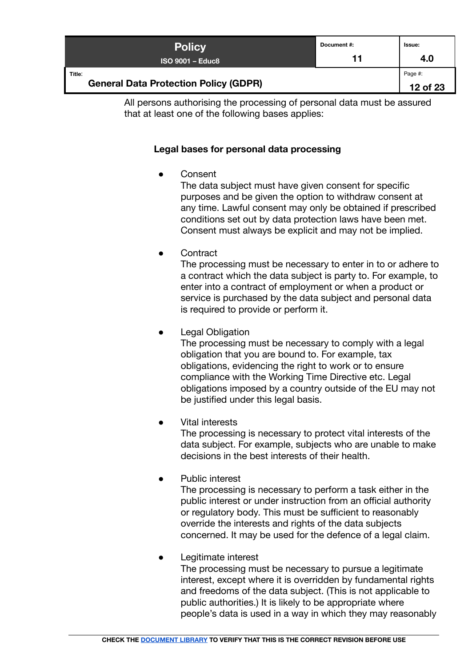| <b>Policy</b>                                          | Document#: | Issue:              |
|--------------------------------------------------------|------------|---------------------|
| ISO 9001 – Educ8 <sup>'</sup>                          | 11         | 4.0                 |
| Title:<br><b>General Data Protection Policy (GDPR)</b> |            | Page #:<br>12 of 23 |

<span id="page-11-0"></span>All persons authorising the processing of personal data must be assured that at least one of the following bases applies:

## **Legal bases for personal data processing**

**Consent** 

The data subject must have given consent for specific purposes and be given the option to withdraw consent at any time. Lawful consent may only be obtained if prescribed conditions set out by data protection laws have been met. Consent must always be explicit and may not be implied.

**Contract** 

The processing must be necessary to enter in to or adhere to a contract which the data subject is party to. For example, to enter into a contract of employment or when a product or service is purchased by the data subject and personal data is required to provide or perform it.

**Legal Obligation** 

The processing must be necessary to comply with a legal obligation that you are bound to. For example, tax obligations, evidencing the right to work or to ensure compliance with the Working Time Directive etc. Legal obligations imposed by a country outside of the EU may not be justified under this legal basis.

**Vital interests** 

The processing is necessary to protect vital interests of the data subject. For example, subjects who are unable to make decisions in the best interests of their health.

Public interest

The processing is necessary to perform a task either in the public interest or under instruction from an official authority or regulatory body. This must be sufficient to reasonably override the interests and rights of the data subjects concerned. It may be used for the defence of a legal claim.

Legitimate interest

The processing must be necessary to pursue a legitimate interest, except where it is overridden by fundamental rights and freedoms of the data subject. (This is not applicable to public authorities.) It is likely to be appropriate where people's data is used in a way in which they may reasonably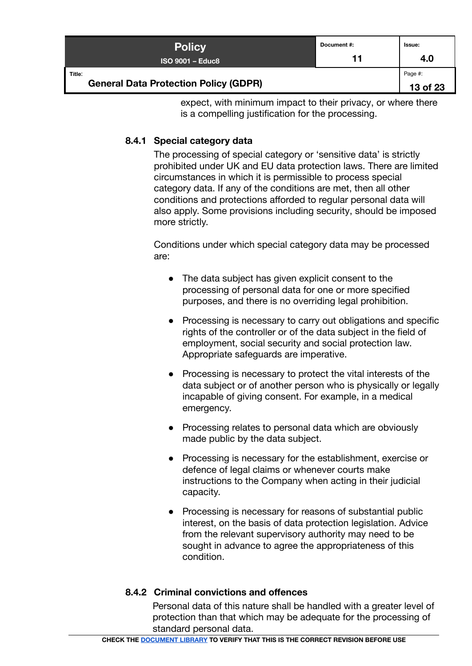| <b>Policy</b>                                          | Document #: | lssue:              |
|--------------------------------------------------------|-------------|---------------------|
| $ISO$ 9001 – Educ8                                     | 11          | 4.0                 |
| Title:<br><b>General Data Protection Policy (GDPR)</b> |             | Page #:<br>13 of 23 |

expect, with minimum impact to their privacy, or where there is a compelling justification for the processing.

## <span id="page-12-0"></span>**8.4.1 Special category data**

The processing of special category or 'sensitive data' is strictly prohibited under UK and EU data protection laws. There are limited circumstances in which it is permissible to process special category data. If any of the conditions are met, then all other conditions and protections afforded to regular personal data will also apply. Some provisions including security, should be imposed more strictly.

Conditions under which special category data may be processed are:

- The data subject has given explicit consent to the processing of personal data for one or more specified purposes, and there is no overriding legal prohibition.
- Processing is necessary to carry out obligations and specific rights of the controller or of the data subject in the field of employment, social security and social protection law. Appropriate safeguards are imperative.
- Processing is necessary to protect the vital interests of the data subject or of another person who is physically or legally incapable of giving consent. For example, in a medical emergency.
- Processing relates to personal data which are obviously made public by the data subject.
- Processing is necessary for the establishment, exercise or defence of legal claims or whenever courts make instructions to the Company when acting in their judicial capacity.
- Processing is necessary for reasons of substantial public interest, on the basis of data protection legislation. Advice from the relevant supervisory authority may need to be sought in advance to agree the appropriateness of this condition.

## <span id="page-12-1"></span>**8.4.2 Criminal convictions and offences**

Personal data of this nature shall be handled with a greater level of protection than that which may be adequate for the processing of standard personal data.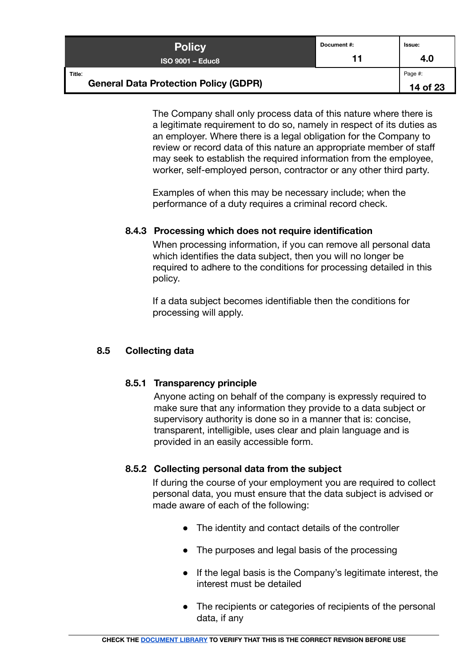| <b>Policy</b>                                          | Document#: | Issue:              |
|--------------------------------------------------------|------------|---------------------|
| ISO 9001 – Educ8 ˈ                                     | 11         | 4.0                 |
| Title:<br><b>General Data Protection Policy (GDPR)</b> |            | Page #:<br>14 of 23 |

The Company shall only process data of this nature where there is a legitimate requirement to do so, namely in respect of its duties as an employer. Where there is a legal obligation for the Company to review or record data of this nature an appropriate member of staff may seek to establish the required information from the employee, worker, self-employed person, contractor or any other third party.

Examples of when this may be necessary include; when the performance of a duty requires a criminal record check.

## <span id="page-13-0"></span>**8.4.3 Processing which does not require identification**

When processing information, if you can remove all personal data which identifies the data subject, then you will no longer be required to adhere to the conditions for processing detailed in this policy.

If a data subject becomes identifiable then the conditions for processing will apply.

## <span id="page-13-2"></span><span id="page-13-1"></span>**8.5 Collecting data**

## **8.5.1 Transparency principle**

Anyone acting on behalf of the company is expressly required to make sure that any information they provide to a data subject or supervisory authority is done so in a manner that is: concise, transparent, intelligible, uses clear and plain language and is provided in an easily accessible form.

## <span id="page-13-3"></span>**8.5.2 Collecting personal data from the subject**

If during the course of your employment you are required to collect personal data, you must ensure that the data subject is advised or made aware of each of the following:

- The identity and contact details of the controller
- The purposes and legal basis of the processing
- If the legal basis is the Company's legitimate interest, the interest must be detailed
- The recipients or categories of recipients of the personal data, if any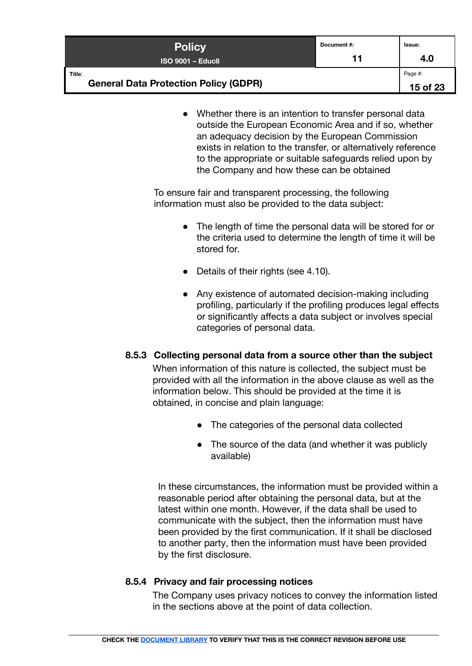| <b>Policy</b>                                          | Document#: | lssue:              |
|--------------------------------------------------------|------------|---------------------|
| $ISO$ 9001 – Educ8                                     | 11         | 4.0                 |
| Title:<br><b>General Data Protection Policy (GDPR)</b> |            | Page #:<br>15 of 23 |

● Whether there is an intention to transfer personal data outside the European Economic Area and if so, whether an adequacy decision by the European Commission exists in relation to the transfer, or alternatively reference to the appropriate or suitable safeguards relied upon by the Company and how these can be obtained

To ensure fair and transparent processing, the following information must also be provided to the data subject:

- The length of time the personal data will be stored for or the criteria used to determine the length of time it will be stored for.
- Details of their rights (see 4.10).
- Any existence of automated decision-making including profiling, particularly if the profiling produces legal effects or significantly affects a data subject or involves special categories of personal data.

## <span id="page-14-0"></span>**8.5.3 Collecting personal data from a source other than the subject**

When information of this nature is collected, the subject must be provided with all the information in the above clause as well as the information below. This should be provided at the time it is obtained, in concise and plain language:

- The categories of the personal data collected
- The source of the data (and whether it was publicly available)

In these circumstances, the information must be provided within a reasonable period after obtaining the personal data, but at the latest within one month. However, if the data shall be used to communicate with the subject, then the information must have been provided by the first communication. If it shall be disclosed to another party, then the information must have been provided by the first disclosure.

## <span id="page-14-1"></span>**8.5.4 Privacy and fair processing notices**

The Company uses privacy notices to convey the information listed in the sections above at the point of data collection.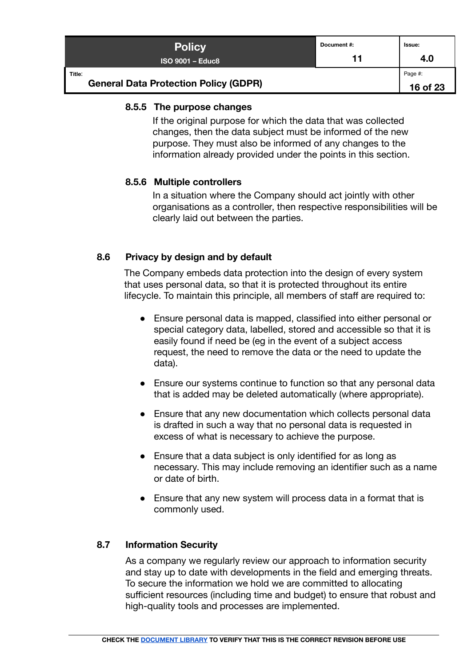| <b>Policy</b>                                          | Document#: | <b>Issue:</b>       |
|--------------------------------------------------------|------------|---------------------|
| $ISO$ 9001 – Educ8                                     | 11         | 4.0                 |
| Title:<br><b>General Data Protection Policy (GDPR)</b> |            | Page #:<br>16 of 23 |

#### <span id="page-15-0"></span>**8.5.5 The purpose changes**

If the original purpose for which the data that was collected changes, then the data subject must be informed of the new purpose. They must also be informed of any changes to the information already provided under the points in this section.

#### <span id="page-15-1"></span>**8.5.6 Multiple controllers**

In a situation where the Company should act jointly with other organisations as a controller, then respective responsibilities will be clearly laid out between the parties.

## <span id="page-15-2"></span>**8.6 Privacy by design and by default**

The Company embeds data protection into the design of every system that uses personal data, so that it is protected throughout its entire lifecycle. To maintain this principle, all members of staff are required to:

- Ensure personal data is mapped, classified into either personal or special category data, labelled, stored and accessible so that it is easily found if need be (eg in the event of a subject access request, the need to remove the data or the need to update the data).
- Ensure our systems continue to function so that any personal data that is added may be deleted automatically (where appropriate).
- Ensure that any new documentation which collects personal data is drafted in such a way that no personal data is requested in excess of what is necessary to achieve the purpose.
- Ensure that a data subject is only identified for as long as necessary. This may include removing an identifier such as a name or date of birth.
- Ensure that any new system will process data in a format that is commonly used.

## <span id="page-15-3"></span>**8.7 Information Security**

As a company we regularly review our approach to information security and stay up to date with developments in the field and emerging threats. To secure the information we hold we are committed to allocating sufficient resources (including time and budget) to ensure that robust and high-quality tools and processes are implemented.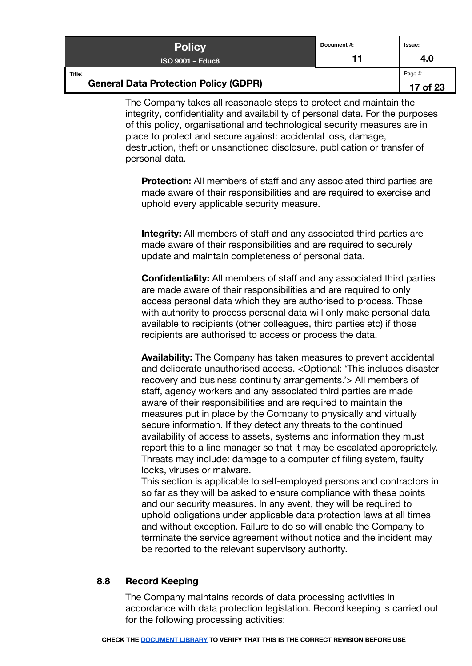| <b>Policy</b>                                          | Document #: | lssue:              |
|--------------------------------------------------------|-------------|---------------------|
| $ISO$ 9001 – Educ8                                     | 11          | 4.0                 |
| Title:<br><b>General Data Protection Policy (GDPR)</b> |             | Page #:<br>17 of 23 |

The Company takes all reasonable steps to protect and maintain the integrity, confidentiality and availability of personal data. For the purposes of this policy, organisational and technological security measures are in place to protect and secure against: accidental loss, damage, destruction, theft or unsanctioned disclosure, publication or transfer of personal data.

**Protection:** All members of staff and any associated third parties are made aware of their responsibilities and are required to exercise and uphold every applicable security measure.

**Integrity:** All members of staff and any associated third parties are made aware of their responsibilities and are required to securely update and maintain completeness of personal data.

**Confidentiality:** All members of staff and any associated third parties are made aware of their responsibilities and are required to only access personal data which they are authorised to process. Those with authority to process personal data will only make personal data available to recipients (other colleagues, third parties etc) if those recipients are authorised to access or process the data.

**Availability:** The Company has taken measures to prevent accidental and deliberate unauthorised access. <Optional: 'This includes disaster recovery and business continuity arrangements.'> All members of staff, agency workers and any associated third parties are made aware of their responsibilities and are required to maintain the measures put in place by the Company to physically and virtually secure information. If they detect any threats to the continued availability of access to assets, systems and information they must report this to a line manager so that it may be escalated appropriately. Threats may include: damage to a computer of filing system, faulty locks, viruses or malware.

This section is applicable to self-employed persons and contractors in so far as they will be asked to ensure compliance with these points and our security measures. In any event, they will be required to uphold obligations under applicable data protection laws at all times and without exception. Failure to do so will enable the Company to terminate the service agreement without notice and the incident may be reported to the relevant supervisory authority.

## <span id="page-16-0"></span>**8.8 Record Keeping**

The Company maintains records of data processing activities in accordance with data protection legislation. Record keeping is carried out for the following processing activities: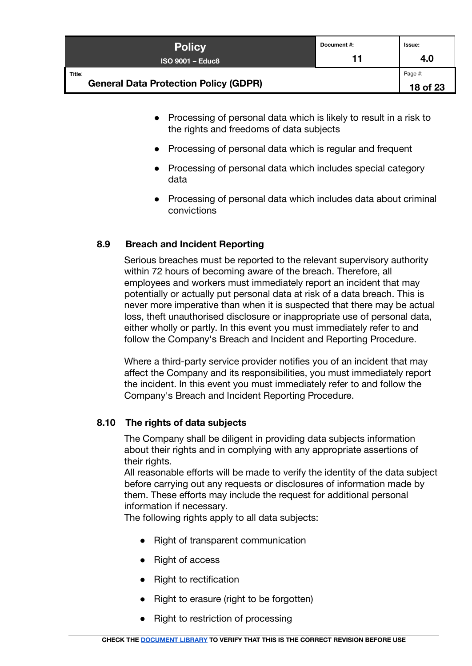| <b>Policy</b>                                          | Document #: | Issue:              |
|--------------------------------------------------------|-------------|---------------------|
| $ISO$ 9001 – Educ8                                     | 11          | 4.0                 |
| Title:<br><b>General Data Protection Policy (GDPR)</b> |             | Page #:<br>18 of 23 |

- Processing of personal data which is likely to result in a risk to the rights and freedoms of data subjects
- Processing of personal data which is regular and frequent
- Processing of personal data which includes special category data
- Processing of personal data which includes data about criminal convictions

## <span id="page-17-0"></span>**8.9 Breach and Incident Reporting**

Serious breaches must be reported to the relevant supervisory authority within 72 hours of becoming aware of the breach. Therefore, all employees and workers must immediately report an incident that may potentially or actually put personal data at risk of a data breach. This is never more imperative than when it is suspected that there may be actual loss, theft unauthorised disclosure or inappropriate use of personal data, either wholly or partly. In this event you must immediately refer to and follow the Company's Breach and Incident and Reporting Procedure.

Where a third-party service provider notifies you of an incident that may affect the Company and its responsibilities, you must immediately report the incident. In this event you must immediately refer to and follow the Company's Breach and Incident Reporting Procedure.

## <span id="page-17-1"></span>**8.10 The rights of data subjects**

The Company shall be diligent in providing data subjects information about their rights and in complying with any appropriate assertions of their rights.

All reasonable efforts will be made to verify the identity of the data subject before carrying out any requests or disclosures of information made by them. These efforts may include the request for additional personal information if necessary.

The following rights apply to all data subjects:

- Right of transparent communication
- Right of access
- Right to rectification
- Right to erasure (right to be forgotten)
- Right to restriction of processing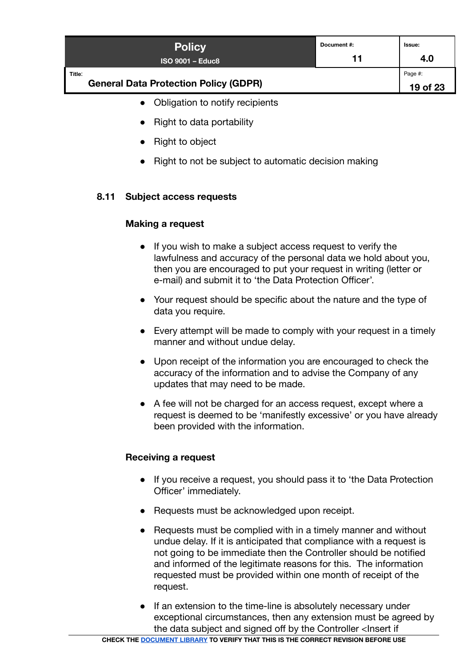| <b>Policy</b><br><b>ISO 9001 - Educ8</b>               | Document #:<br>11 | Issue:<br>4.0       |
|--------------------------------------------------------|-------------------|---------------------|
| Title:<br><b>General Data Protection Policy (GDPR)</b> |                   | Page #:<br>19 of 23 |
|                                                        |                   |                     |

- Obligation to notify recipients
- Right to data portability
- Right to object
- Right to not be subject to automatic decision making

## <span id="page-18-0"></span>**8.11 Subject access requests**

## **Making a request**

- If you wish to make a subject access request to verify the lawfulness and accuracy of the personal data we hold about you, then you are encouraged to put your request in writing (letter or e-mail) and submit it to 'the Data Protection Officer'.
- Your request should be specific about the nature and the type of data you require.
- Every attempt will be made to comply with your request in a timely manner and without undue delay.
- Upon receipt of the information you are encouraged to check the accuracy of the information and to advise the Company of any updates that may need to be made.
- A fee will not be charged for an access request, except where a request is deemed to be 'manifestly excessive' or you have already been provided with the information.

## **Receiving a request**

- If you receive a request, you should pass it to 'the Data Protection Officer' immediately.
- Requests must be acknowledged upon receipt.
- Requests must be complied with in a timely manner and without undue delay. If it is anticipated that compliance with a request is not going to be immediate then the Controller should be notified and informed of the legitimate reasons for this. The information requested must be provided within one month of receipt of the request.
- If an extension to the time-line is absolutely necessary under exceptional circumstances, then any extension must be agreed by the data subject and signed off by the Controller <Insert if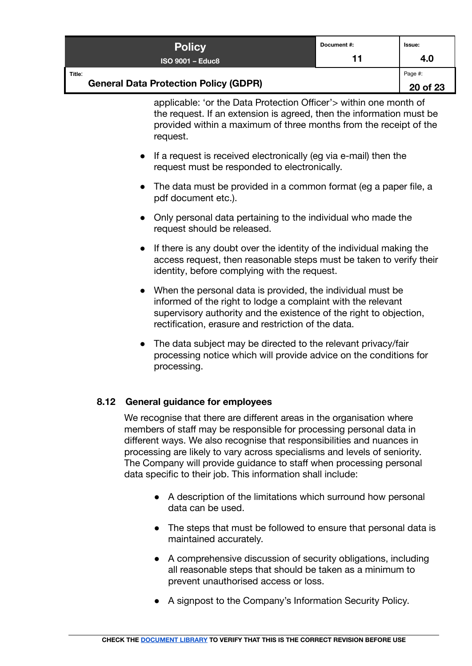| <b>Policy</b>                                          | Document #: | <b>Issue:</b>       |
|--------------------------------------------------------|-------------|---------------------|
| ISO 9001 – Educ8 ˈ                                     | 11          | 4.0                 |
| Title:<br><b>General Data Protection Policy (GDPR)</b> |             | Page #:<br>20 of 23 |

applicable: 'or the Data Protection Officer'> within one month of the request. If an extension is agreed, then the information must be provided within a maximum of three months from the receipt of the request.

- If a request is received electronically (eg via e-mail) then the request must be responded to electronically.
- The data must be provided in a common format (eq a paper file, a pdf document etc.).
- Only personal data pertaining to the individual who made the request should be released.
- If there is any doubt over the identity of the individual making the access request, then reasonable steps must be taken to verify their identity, before complying with the request.
- When the personal data is provided, the individual must be informed of the right to lodge a complaint with the relevant supervisory authority and the existence of the right to objection, rectification, erasure and restriction of the data.
- The data subject may be directed to the relevant privacy/fair processing notice which will provide advice on the conditions for processing.

## <span id="page-19-0"></span>**8.12 General guidance for employees**

We recognise that there are different areas in the organisation where members of staff may be responsible for processing personal data in different ways. We also recognise that responsibilities and nuances in processing are likely to vary across specialisms and levels of seniority. The Company will provide guidance to staff when processing personal data specific to their job. This information shall include:

- A description of the limitations which surround how personal data can be used.
- The steps that must be followed to ensure that personal data is maintained accurately.
- A comprehensive discussion of security obligations, including all reasonable steps that should be taken as a minimum to prevent unauthorised access or loss.
- A signpost to the Company's Information Security Policy.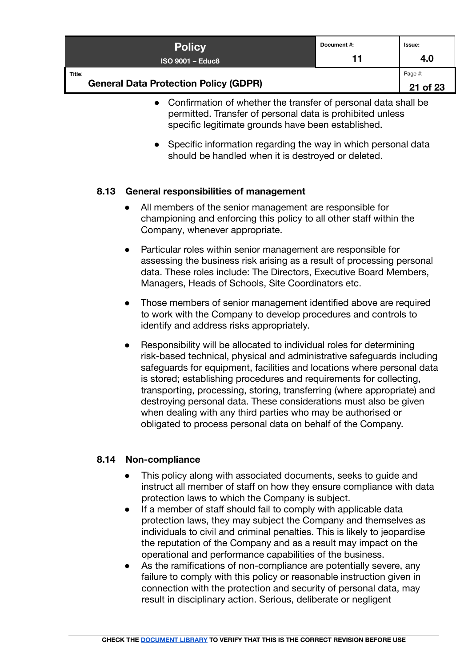| <b>Policy</b>                                          | Document #: | lssue:              |
|--------------------------------------------------------|-------------|---------------------|
| $ISO$ 9001 – Educ8                                     | 11          | 4.0                 |
| Title:<br><b>General Data Protection Policy (GDPR)</b> |             | Page #:<br>21 of 23 |

- Confirmation of whether the transfer of personal data shall be permitted. Transfer of personal data is prohibited unless specific legitimate grounds have been established.
- Specific information regarding the way in which personal data should be handled when it is destroyed or deleted.

## <span id="page-20-0"></span>**8.13 General responsibilities of management**

- All members of the senior management are responsible for championing and enforcing this policy to all other staff within the Company, whenever appropriate.
- Particular roles within senior management are responsible for assessing the business risk arising as a result of processing personal data. These roles include: The Directors, Executive Board Members, Managers, Heads of Schools, Site Coordinators etc.
- Those members of senior management identified above are required to work with the Company to develop procedures and controls to identify and address risks appropriately.
- Responsibility will be allocated to individual roles for determining risk-based technical, physical and administrative safeguards including safeguards for equipment, facilities and locations where personal data is stored; establishing procedures and requirements for collecting, transporting, processing, storing, transferring (where appropriate) and destroying personal data. These considerations must also be given when dealing with any third parties who may be authorised or obligated to process personal data on behalf of the Company.

## <span id="page-20-1"></span>**8.14 Non-compliance**

- This policy along with associated documents, seeks to guide and instruct all member of staff on how they ensure compliance with data protection laws to which the Company is subject.
- If a member of staff should fail to comply with applicable data protection laws, they may subject the Company and themselves as individuals to civil and criminal penalties. This is likely to jeopardise the reputation of the Company and as a result may impact on the operational and performance capabilities of the business.
- As the ramifications of non-compliance are potentially severe, any failure to comply with this policy or reasonable instruction given in connection with the protection and security of personal data, may result in disciplinary action. Serious, deliberate or negligent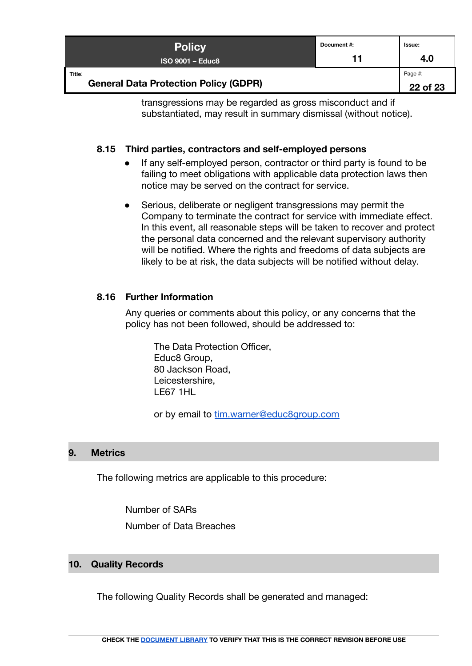| <b>Policy</b><br>$ISO$ 9001 – Educ8                    | Document#:<br>11 | Issue:<br>4.0 |
|--------------------------------------------------------|------------------|---------------|
| Title:<br><b>General Data Protection Policy (GDPR)</b> |                  | Page #:       |
|                                                        |                  | 22 of 23      |

transgressions may be regarded as gross misconduct and if substantiated, may result in summary dismissal (without notice).

## <span id="page-21-0"></span>**8.15 Third parties, contractors and self-employed persons**

- If any self-employed person, contractor or third party is found to be failing to meet obligations with applicable data protection laws then notice may be served on the contract for service.
- Serious, deliberate or negligent transgressions may permit the Company to terminate the contract for service with immediate effect. In this event, all reasonable steps will be taken to recover and protect the personal data concerned and the relevant supervisory authority will be notified. Where the rights and freedoms of data subjects are likely to be at risk, the data subjects will be notified without delay.

## <span id="page-21-1"></span>**8.16 Further Information**

Any queries or comments about this policy, or any concerns that the policy has not been followed, should be addressed to:

The Data Protection Officer, Educ8 Group, 80 Jackson Road, Leicestershire, LE67 1HL

or by email to [tim.warner@educ8group.com](mailto:tim.warner@educ8group.com)

## <span id="page-21-2"></span>**9. Metrics**

<span id="page-21-3"></span>The following metrics are applicable to this procedure:

Number of SARs Number of Data Breaches

## <span id="page-21-4"></span>**10. Quality Records**

The following Quality Records shall be generated and managed: